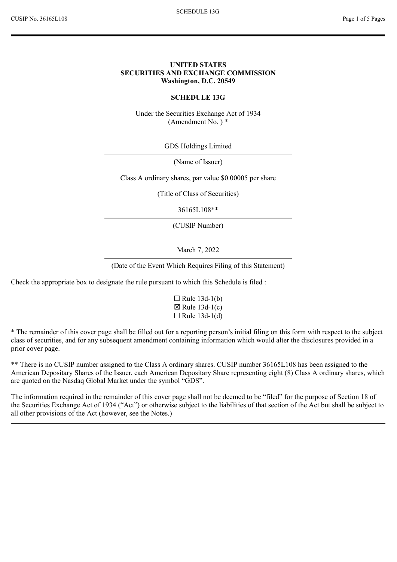#### **UNITED STATES SECURITIES AND EXCHANGE COMMISSION Washington, D.C. 20549**

#### **SCHEDULE 13G**

Under the Securities Exchange Act of 1934 (Amendment No. ) \*

GDS Holdings Limited

(Name of Issuer)

Class A ordinary shares, par value \$0.00005 per share

(Title of Class of Securities)

36165L108\*\*

(CUSIP Number)

March 7, 2022

(Date of the Event Which Requires Filing of this Statement)

Check the appropriate box to designate the rule pursuant to which this Schedule is filed :

 $\Box$  Rule 13d-1(b)  $\boxtimes$  Rule 13d-1(c)  $\Box$  Rule 13d-1(d)

\* The remainder of this cover page shall be filled out for a reporting person's initial filing on this form with respect to the subject class of securities, and for any subsequent amendment containing information which would alter the disclosures provided in a prior cover page.

\*\* There is no CUSIP number assigned to the Class A ordinary shares. CUSIP number 36165L108 has been assigned to the American Depositary Shares of the Issuer, each American Depositary Share representing eight (8) Class A ordinary shares, which are quoted on the Nasdaq Global Market under the symbol "GDS".

The information required in the remainder of this cover page shall not be deemed to be "filed" for the purpose of Section 18 of the Securities Exchange Act of 1934 ("Act") or otherwise subject to the liabilities of that section of the Act but shall be subject to all other provisions of the Act (however, see the Notes.)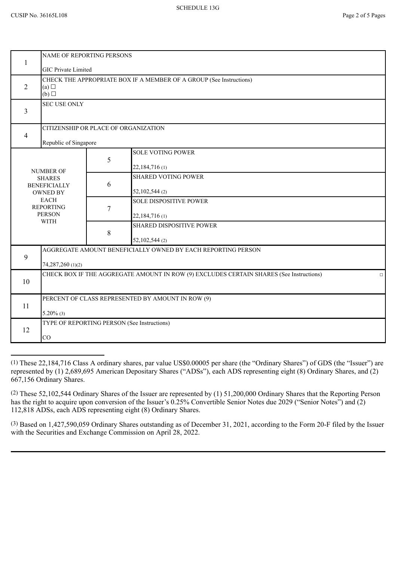| 1                                                                                                                                              | NAME OF REPORTING PERSONS                                           |                                                                                                   |  |  |
|------------------------------------------------------------------------------------------------------------------------------------------------|---------------------------------------------------------------------|---------------------------------------------------------------------------------------------------|--|--|
| <b>GIC Private Limited</b>                                                                                                                     |                                                                     |                                                                                                   |  |  |
| $\overline{2}$<br>(a)<br>$(b)$ $\square$                                                                                                       | CHECK THE APPROPRIATE BOX IF A MEMBER OF A GROUP (See Instructions) |                                                                                                   |  |  |
| 3                                                                                                                                              | <b>SEC USE ONLY</b>                                                 |                                                                                                   |  |  |
| CITIZENSHIP OR PLACE OF ORGANIZATION<br>4                                                                                                      |                                                                     |                                                                                                   |  |  |
| Republic of Singapore                                                                                                                          |                                                                     |                                                                                                   |  |  |
| <b>NUMBER OF</b><br><b>SHARES</b><br><b>BENEFICIALLY</b><br><b>OWNED BY</b><br><b>EACH</b><br><b>REPORTING</b><br><b>PERSON</b><br><b>WITH</b> | 5                                                                   | <b>SOLE VOTING POWER</b>                                                                          |  |  |
|                                                                                                                                                |                                                                     | 22,184,716 (1)                                                                                    |  |  |
|                                                                                                                                                |                                                                     | <b>SHARED VOTING POWER</b>                                                                        |  |  |
|                                                                                                                                                | 6                                                                   | 52,102,544 (2)                                                                                    |  |  |
|                                                                                                                                                |                                                                     | <b>SOLE DISPOSITIVE POWER</b>                                                                     |  |  |
|                                                                                                                                                | $\overline{7}$                                                      | 22,184,716(1)                                                                                     |  |  |
|                                                                                                                                                |                                                                     | <b>SHARED DISPOSITIVE POWER</b>                                                                   |  |  |
|                                                                                                                                                | 8                                                                   | 52,102,544 (2)                                                                                    |  |  |
| AGGREGATE AMOUNT BENEFICIALLY OWNED BY EACH REPORTING PERSON                                                                                   |                                                                     |                                                                                                   |  |  |
| 9<br>74,287,260 (1)(2)                                                                                                                         |                                                                     |                                                                                                   |  |  |
|                                                                                                                                                |                                                                     | CHECK BOX IF THE AGGREGATE AMOUNT IN ROW (9) EXCLUDES CERTAIN SHARES (See Instructions)<br>$\Box$ |  |  |
| 10                                                                                                                                             |                                                                     |                                                                                                   |  |  |
|                                                                                                                                                | PERCENT OF CLASS REPRESENTED BY AMOUNT IN ROW (9)                   |                                                                                                   |  |  |
| 11<br>$5.20\%$ (3)                                                                                                                             |                                                                     |                                                                                                   |  |  |
|                                                                                                                                                |                                                                     | TYPE OF REPORTING PERSON (See Instructions)                                                       |  |  |
| 12                                                                                                                                             |                                                                     |                                                                                                   |  |  |
| CO                                                                                                                                             |                                                                     |                                                                                                   |  |  |

<sup>(1)</sup> These 22,184,716 Class A ordinary shares, par value US\$0.00005 per share (the "Ordinary Shares") of GDS (the "Issuer") are represented by (1) 2,689,695 American Depositary Shares ("ADSs"), each ADS representing eight (8) Ordinary Shares, and (2) 667,156 Ordinary Shares.

<sup>(2)</sup> These 52,102,544 Ordinary Shares of the Issuer are represented by (1) 51,200,000 Ordinary Shares that the Reporting Person has the right to acquire upon conversion of the Issuer's 0.25% Convertible Senior Notes due 2029 ("Senior Notes") and (2) 112,818 ADSs, each ADS representing eight (8) Ordinary Shares.

<sup>(3)</sup> Based on 1,427,590,059 Ordinary Shares outstanding as of December 31, 2021, according to the Form 20-F filed by the Issuer with the Securities and Exchange Commission on April 28, 2022.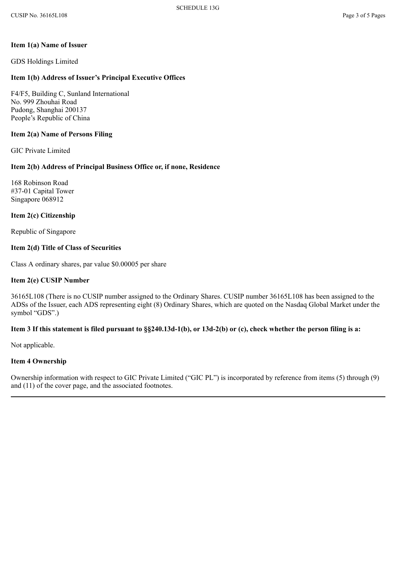### **Item 1(a) Name of Issuer**

GDS Holdings Limited

## **Item 1(b) Address of Issuer's Principal Executive Offices**

F4/F5, Building C, Sunland International No. 999 Zhouhai Road Pudong, Shanghai 200137 People's Republic of China

### **Item 2(a) Name of Persons Filing**

GIC Private Limited

# **Item 2(b) Address of Principal Business Office or, if none, Residence**

168 Robinson Road #37-01 Capital Tower Singapore 068912

### **Item 2(c) Citizenship**

Republic of Singapore

## **Item 2(d) Title of Class of Securities**

Class A ordinary shares, par value \$0.00005 per share

### **Item 2(e) CUSIP Number**

36165L108 (There is no CUSIP number assigned to the Ordinary Shares. CUSIP number 36165L108 has been assigned to the ADSs of the Issuer, each ADS representing eight (8) Ordinary Shares, which are quoted on the Nasdaq Global Market under the symbol "GDS".)

# **Item 3 If this statement is filed pursuant to §§240.13d-1(b), or 13d-2(b) or (c), check whether the person filing is a:**

Not applicable.

## **Item 4 Ownership**

Ownership information with respect to GIC Private Limited ("GIC PL") is incorporated by reference from items (5) through (9) and (11) of the cover page, and the associated footnotes.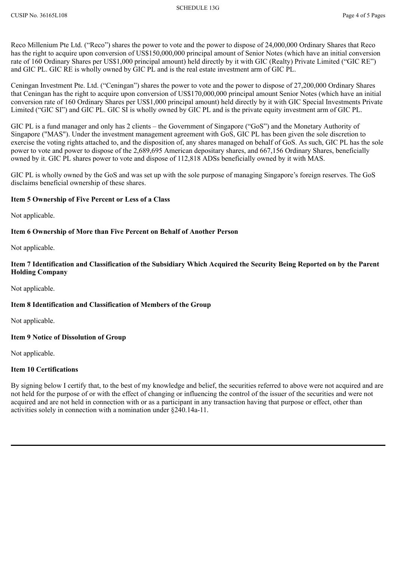Reco Millenium Pte Ltd. ("Reco") shares the power to vote and the power to dispose of 24,000,000 Ordinary Shares that Reco has the right to acquire upon conversion of US\$150,000,000 principal amount of Senior Notes (which have an initial conversion rate of 160 Ordinary Shares per US\$1,000 principal amount) held directly by it with GIC (Realty) Private Limited ("GIC RE") and GIC PL. GIC RE is wholly owned by GIC PL and is the real estate investment arm of GIC PL.

Ceningan Investment Pte. Ltd. ("Ceningan") shares the power to vote and the power to dispose of 27,200,000 Ordinary Shares that Ceningan has the right to acquire upon conversion of US\$170,000,000 principal amount Senior Notes (which have an initial conversion rate of 160 Ordinary Shares per US\$1,000 principal amount) held directly by it with GIC Special Investments Private Limited ("GIC SI") and GIC PL. GIC SI is wholly owned by GIC PL and is the private equity investment arm of GIC PL.

GIC PL is a fund manager and only has 2 clients – the Government of Singapore ("GoS") and the Monetary Authority of Singapore ("MAS"). Under the investment management agreement with GoS, GIC PL has been given the sole discretion to exercise the voting rights attached to, and the disposition of, any shares managed on behalf of GoS. As such, GIC PL has the sole power to vote and power to dispose of the 2,689,695 American depositary shares, and 667,156 Ordinary Shares, beneficially owned by it. GIC PL shares power to vote and dispose of 112,818 ADSs beneficially owned by it with MAS.

GIC PL is wholly owned by the GoS and was set up with the sole purpose of managing Singapore's foreign reserves. The GoS disclaims beneficial ownership of these shares.

## **Item 5 Ownership of Five Percent or Less of a Class**

Not applicable.

## **Item 6 Ownership of More than Five Percent on Behalf of Another Person**

Not applicable.

**Item 7 Identification and Classification of the Subsidiary Which Acquired the Security Being Reported on by the Parent Holding Company**

Not applicable.

## **Item 8 Identification and Classification of Members of the Group**

Not applicable.

## **Item 9 Notice of Dissolution of Group**

Not applicable.

## **Item 10 Certifications**

By signing below I certify that, to the best of my knowledge and belief, the securities referred to above were not acquired and are not held for the purpose of or with the effect of changing or influencing the control of the issuer of the securities and were not acquired and are not held in connection with or as a participant in any transaction having that purpose or effect, other than activities solely in connection with a nomination under §240.14a-11.